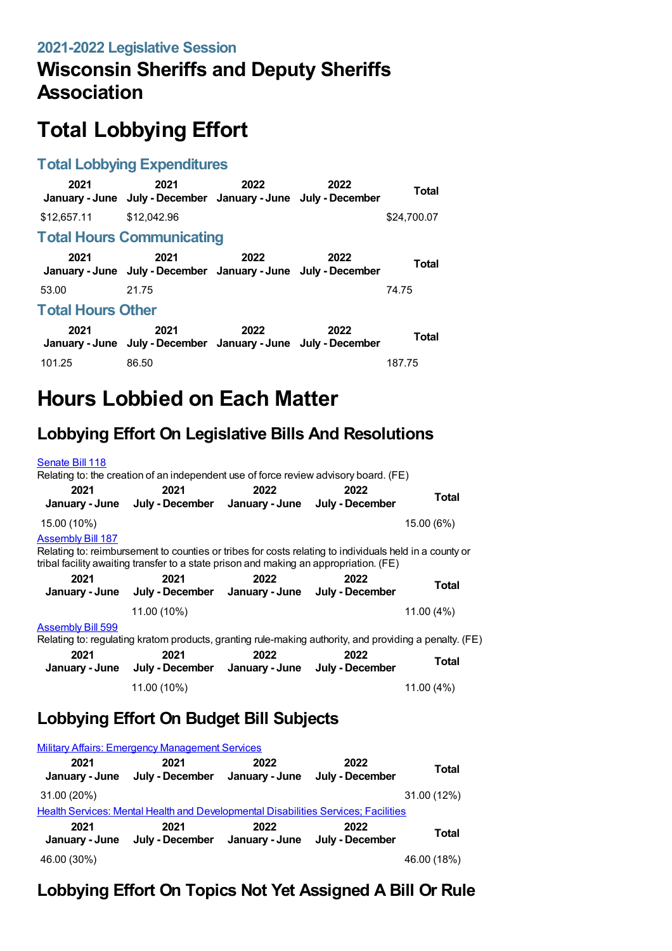## **Wisconsin Sheriffs and Deputy Sheriffs Association**

# **Total Lobbying Effort**

#### **Total Lobbying Expenditures**

| 2021                             | 2021<br>January - June July - December January - June July - December | 2022 | 2022 | <b>Total</b> |  |
|----------------------------------|-----------------------------------------------------------------------|------|------|--------------|--|
| \$12,657.11                      | \$12,042.96                                                           |      |      | \$24,700.07  |  |
| <b>Total Hours Communicating</b> |                                                                       |      |      |              |  |
| 2021                             | 2021<br>January - June July - December January - June July - December | 2022 | 2022 | <b>Total</b> |  |
| 53.00                            | 21.75                                                                 |      |      | 74.75        |  |
| <b>Total Hours Other</b>         |                                                                       |      |      |              |  |
| 2021                             | 2021<br>January - June July - December January - June July - December | 2022 | 2022 | <b>Total</b> |  |
| 101.25                           | 86.50                                                                 |      |      | 187.75       |  |

## **Hours Lobbied on Each Matter**

#### **Lobbying Effort On Legislative Bills And Resolutions**

| Senate Bill 118          | Relating to: the creation of an independent use of force review advisory board. (FE)                                                                                                            |      |      |            |
|--------------------------|-------------------------------------------------------------------------------------------------------------------------------------------------------------------------------------------------|------|------|------------|
| 2021                     | 2021<br>January - June July - December January - June July - December                                                                                                                           | 2022 | 2022 | Total      |
| 15.00 (10%)              |                                                                                                                                                                                                 |      |      | 15.00 (6%) |
| <b>Assembly Bill 187</b> | Relating to: reimbursement to counties or tribes for costs relating to individuals held in a county or<br>tribal facility awaiting transfer to a state prison and making an appropriation. (FE) |      |      |            |
| 2021                     | 2021<br>January - June July - December January - June July - December                                                                                                                           | 2022 | 2022 | Total      |
|                          | 11.00 (10%)                                                                                                                                                                                     |      |      | 11.00 (4%) |
| <b>Assembly Bill 599</b> | Relating to: regulating kratom products, granting rule-making authority, and providing a penalty. (FE)                                                                                          |      |      |            |
| 2021                     | 2021<br>January - June July - December January - June July - December                                                                                                                           | 2022 | 2022 | Total      |
|                          | 11.00 (10%)                                                                                                                                                                                     |      |      | 11.00 (4%) |

#### **Lobbying Effort On Budget Bill Subjects**

|                                                                                    | <b>Military Affairs: Emergency Management Services</b> |                        |                         |              |
|------------------------------------------------------------------------------------|--------------------------------------------------------|------------------------|-------------------------|--------------|
| 2021<br>January - June                                                             | 2021<br>July - December                                | 2022<br>January - June | 2022<br>July - December | <b>Total</b> |
| 31.00 (20%)                                                                        |                                                        |                        |                         | 31.00 (12%)  |
| Health Services: Mental Health and Developmental Disabilities Services; Facilities |                                                        |                        |                         |              |
| 2021<br>January - June                                                             | 2021<br>July - December                                | 2022<br>January - June | 2022<br>July - December | <b>Total</b> |
| 46.00 (30%)                                                                        |                                                        |                        |                         | 46.00 (18%)  |

#### **Lobbying Effort On Topics Not Yet Assigned A Bill Or Rule**